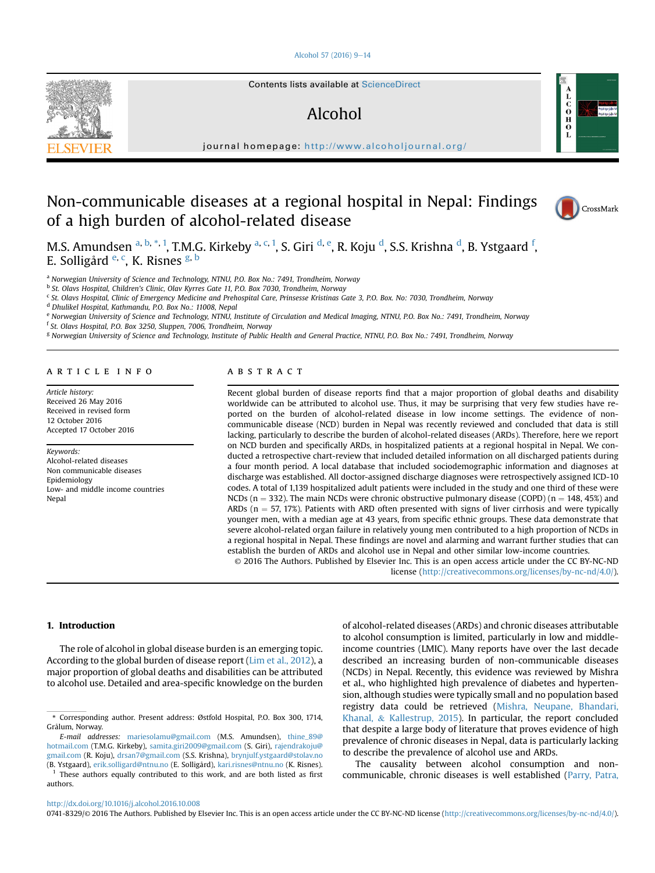## [Alcohol 57 \(2016\) 9](http://dx.doi.org/10.1016/j.alcohol.2016.10.008)-[14](http://dx.doi.org/10.1016/j.alcohol.2016.10.008)



# Alcohol

journal homepage: <http://www.alcoholjournal.org/>

# Non-communicable diseases at a regional hospital in Nepal: Findings of a high burden of alcohol-related disease



 $\mathbf{c}$ <br> $\mathbf{o}$ <br> $\mathbf{H}$  $\frac{0}{L}$ 

M.S. Amundsen <sup>a, b, \*, 1</sup>, T.M.G. Kirkeby <sup>a, c, 1</sup>, S. Giri <sup>d, e</sup>, R. Koju <sup>d</sup>, S.S. Krishna <sup>d</sup>, B. Ystgaard <sup>f</sup>, E. Solligård <sup>e, c</sup>, K. Risnes <sup>g, b</sup>

a Norwegian University of Science and Technology, NTNU, P.O. Box No.: 7491, Trondheim, Norway

b St. Olavs Hospital, Children's Clinic, Olav Kyrres Gate 11, P.O. Box 7030, Trondheim, Norway

<sup>c</sup> St. Olavs Hospital, Clinic of Emergency Medicine and Prehospital Care, Prinsesse Kristinas Gate 3, P.O. Box. No: 7030, Trondheim, Norway

<sup>d</sup> Dhulikel Hospital, Kathmandu, P.O. Box No.: 11008, Nepal

e Norwegian University of Science and Technology, NTNU, Institute of Circulation and Medical Imaging, NTNU, P.O. Box No.: 7491, Trondheim, Norway

<sup>f</sup> St. Olavs Hospital, P.O. Box 3250, Sluppen, 7006, Trondheim, Norway

<sup>g</sup> Norwegian University of Science and Technology, Institute of Public Health and General Practice, NTNU, P.O. Box No.: 7491, Trondheim, Norway

#### article info

Article history: Received 26 May 2016 Received in revised form 12 October 2016 Accepted 17 October 2016

#### Keywords: Alcohol-related diseases Non communicable diseases **Epidemiology** Low- and middle income countries

Nepal

# **ABSTRACT**

Recent global burden of disease reports find that a major proportion of global deaths and disability worldwide can be attributed to alcohol use. Thus, it may be surprising that very few studies have reported on the burden of alcohol-related disease in low income settings. The evidence of noncommunicable disease (NCD) burden in Nepal was recently reviewed and concluded that data is still lacking, particularly to describe the burden of alcohol-related diseases (ARDs). Therefore, here we report on NCD burden and specifically ARDs, in hospitalized patients at a regional hospital in Nepal. We conducted a retrospective chart-review that included detailed information on all discharged patients during a four month period. A local database that included sociodemographic information and diagnoses at discharge was established. All doctor-assigned discharge diagnoses were retrospectively assigned ICD-10 codes. A total of 1,139 hospitalized adult patients were included in the study and one third of these were NCDs ( $n = 332$ ). The main NCDs were chronic obstructive pulmonary disease (COPD) ( $n = 148, 45\%$ ) and ARDs ( $n = 57$ , 17%). Patients with ARD often presented with signs of liver cirrhosis and were typically younger men, with a median age at 43 years, from specific ethnic groups. These data demonstrate that severe alcohol-related organ failure in relatively young men contributed to a high proportion of NCDs in a regional hospital in Nepal. These findings are novel and alarming and warrant further studies that can establish the burden of ARDs and alcohol use in Nepal and other similar low-income countries.

© 2016 The Authors. Published by Elsevier Inc. This is an open access article under the CC BY-NC-ND license [\(http://creativecommons.org/licenses/by-nc-nd/4.0/](http://creativecommons.org/licenses/by-nc-nd/4.0/)).

## 1. Introduction

The role of alcohol in global disease burden is an emerging topic. According to the global burden of disease report ([Lim et al., 2012\)](#page-4-0), a major proportion of global deaths and disabilities can be attributed to alcohol use. Detailed and area-specific knowledge on the burden of alcohol-related diseases (ARDs) and chronic diseases attributable to alcohol consumption is limited, particularly in low and middleincome countries (LMIC). Many reports have over the last decade described an increasing burden of non-communicable diseases (NCDs) in Nepal. Recently, this evidence was reviewed by Mishra et al., who highlighted high prevalence of diabetes and hypertension, although studies were typically small and no population based registry data could be retrieved ([Mishra, Neupane, Bhandari,](#page-4-0) [Khanal,](#page-4-0) & [Kallestrup, 2015\)](#page-4-0). In particular, the report concluded that despite a large body of literature that proves evidence of high prevalence of chronic diseases in Nepal, data is particularly lacking to describe the prevalence of alcohol use and ARDs.

The causality between alcohol consumption and noncommunicable, chronic diseases is well established [\(Parry, Patra,](#page-4-0)

<http://dx.doi.org/10.1016/j.alcohol.2016.10.008>

0741-8329/© 2016 The Authors. Published by Elsevier Inc. This is an open access article under the CC BY-NC-ND license ([http://creativecommons.org/licenses/by-nc-nd/4.0/\)](http://creativecommons.org/licenses/by-nc-nd/4.0/).



<sup>\*</sup> Corresponding author. Present address: Østfold Hospital, P.O. Box 300, 1714, Grålum, Norway.

E-mail addresses: [mariesolamu@gmail.com](mailto:mariesolamu@gmail.com) (M.S. Amundsen), [thine\\_89@](mailto:thine_89@hotmail.com) [hotmail.com](mailto:thine_89@hotmail.com) (T.M.G. Kirkeby), [samita.giri2009@gmail.com](mailto:samita.giri2009@gmail.com) (S. Giri), [rajendrakoju@](mailto:rajendrakoju@gmail.com) [gmail.com](mailto:rajendrakoju@gmail.com) (R. Koju), [drsan7@gmail.com](mailto:drsan7@gmail.com) (S.S. Krishna), [brynjulf.ystgaard@stolav.no](mailto:brynjulf.ystgaard@stolav.no) (B. Ystgaard), [erik.solligard@ntnu.no](mailto:erik.solligard@ntnu.no) (E. Solligård), [kari.risnes@ntnu.no](mailto:kari.risnes@ntnu.no) (K. Risnes).

These authors equally contributed to this work, and are both listed as first authors.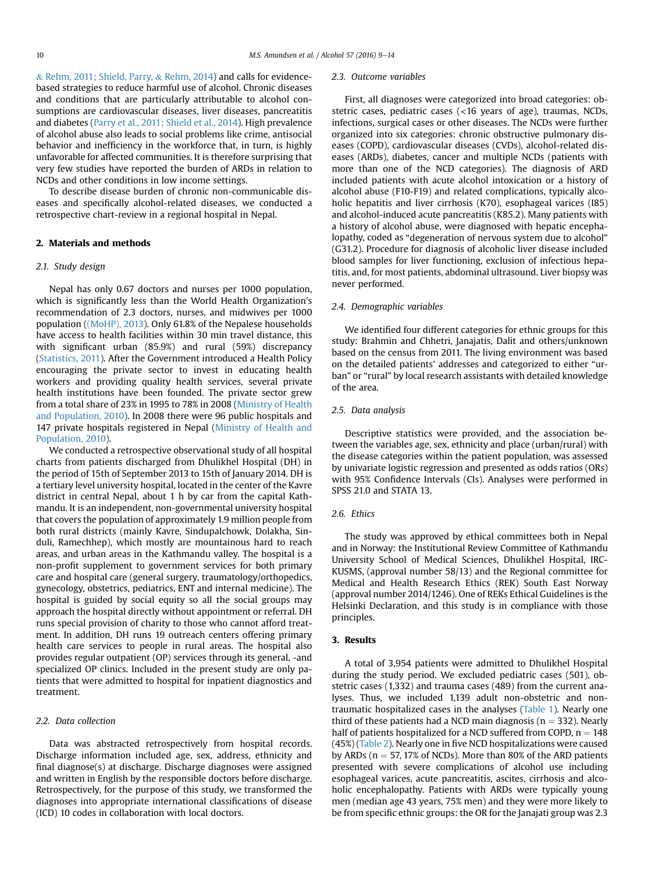& [Rehm, 2011; Shield, Parry,](#page-4-0) & [Rehm, 2014\)](#page-4-0) and calls for evidencebased strategies to reduce harmful use of alcohol. Chronic diseases and conditions that are particularly attributable to alcohol consumptions are cardiovascular diseases, liver diseases, pancreatitis and diabetes [\(Parry et al., 2011; Shield et al., 2014](#page-4-0)). High prevalence of alcohol abuse also leads to social problems like crime, antisocial behavior and inefficiency in the workforce that, in turn, is highly unfavorable for affected communities. It is therefore surprising that very few studies have reported the burden of ARDs in relation to NCDs and other conditions in low income settings.

To describe disease burden of chronic non-communicable diseases and specifically alcohol-related diseases, we conducted a retrospective chart-review in a regional hospital in Nepal.

#### 2. Materials and methods

#### 2.1. Study design

Nepal has only 0.67 doctors and nurses per 1000 population, which is significantly less than the World Health Organization's recommendation of 2.3 doctors, nurses, and midwives per 1000 population [\(\(MoHP\), 2013\)](#page-4-0). Only 61.8% of the Nepalese households have access to health facilities within 30 min travel distance, this with significant urban (85.9%) and rural (59%) discrepancy ([Statistics, 2011](#page-5-0)). After the Government introduced a Health Policy encouraging the private sector to invest in educating health workers and providing quality health services, several private health institutions have been founded. The private sector grew from a total share of 23% in 1995 to 78% in 2008 ([Ministry of Health](#page-4-0) [and Population, 2010\)](#page-4-0). In 2008 there were 96 public hospitals and 147 private hospitals registered in Nepal ([Ministry of Health and](#page-4-0) [Population, 2010](#page-4-0)).

We conducted a retrospective observational study of all hospital charts from patients discharged from Dhulikhel Hospital (DH) in the period of 15th of September 2013 to 15th of January 2014. DH is a tertiary level university hospital, located in the center of the Kavre district in central Nepal, about 1 h by car from the capital Kathmandu. It is an independent, non-governmental university hospital that covers the population of approximately 1.9 million people from both rural districts (mainly Kavre, Sindupalchowk, Dolakha, Sinduli, Ramechhep), which mostly are mountainous hard to reach areas, and urban areas in the Kathmandu valley. The hospital is a non-profit supplement to government services for both primary care and hospital care (general surgery, traumatology/orthopedics, gynecology, obstetrics, pediatrics, ENT and internal medicine). The hospital is guided by social equity so all the social groups may approach the hospital directly without appointment or referral. DH runs special provision of charity to those who cannot afford treatment. In addition, DH runs 19 outreach centers offering primary health care services to people in rural areas. The hospital also provides regular outpatient (OP) services through its general, -and specialized OP clinics. Included in the present study are only patients that were admitted to hospital for inpatient diagnostics and treatment.

#### 2.2. Data collection

Data was abstracted retrospectively from hospital records. Discharge information included age, sex, address, ethnicity and final diagnose(s) at discharge. Discharge diagnoses were assigned and written in English by the responsible doctors before discharge. Retrospectively, for the purpose of this study, we transformed the diagnoses into appropriate international classifications of disease (ICD) 10 codes in collaboration with local doctors.

#### 2.3. Outcome variables

First, all diagnoses were categorized into broad categories: obstetric cases, pediatric cases (<16 years of age), traumas, NCDs, infections, surgical cases or other diseases. The NCDs were further organized into six categories: chronic obstructive pulmonary diseases (COPD), cardiovascular diseases (CVDs), alcohol-related diseases (ARDs), diabetes, cancer and multiple NCDs (patients with more than one of the NCD categories). The diagnosis of ARD included patients with acute alcohol intoxication or a history of alcohol abuse (F10-F19) and related complications, typically alcoholic hepatitis and liver cirrhosis (K70), esophageal varices (I85) and alcohol-induced acute pancreatitis (K85.2). Many patients with a history of alcohol abuse, were diagnosed with hepatic encephalopathy, coded as "degeneration of nervous system due to alcohol" (G31.2). Procedure for diagnosis of alcoholic liver disease included blood samples for liver functioning, exclusion of infectious hepatitis, and, for most patients, abdominal ultrasound. Liver biopsy was never performed.

#### 2.4. Demographic variables

We identified four different categories for ethnic groups for this study: Brahmin and Chhetri, Janajatis, Dalit and others/unknown based on the census from 2011. The living environment was based on the detailed patients' addresses and categorized to either "urban" or "rural" by local research assistants with detailed knowledge of the area.

#### 2.5. Data analysis

Descriptive statistics were provided, and the association between the variables age, sex, ethnicity and place (urban/rural) with the disease categories within the patient population, was assessed by univariate logistic regression and presented as odds ratios (ORs) with 95% Confidence Intervals (CIs). Analyses were performed in SPSS 21.0 and STATA 13.

## 2.6. Ethics

The study was approved by ethical committees both in Nepal and in Norway: the Institutional Review Committee of Kathmandu University School of Medical Sciences, Dhulikhel Hospital, IRC-KUSMS, (approval number 58/13) and the Regional committee for Medical and Health Research Ethics (REK) South East Norway (approval number 2014/1246). One of REKs Ethical Guidelines is the Helsinki Declaration, and this study is in compliance with those principles.

#### 3. Results

A total of 3,954 patients were admitted to Dhulikhel Hospital during the study period. We excluded pediatric cases (501), obstetric cases (1,332) and trauma cases (489) from the current analyses. Thus, we included 1,139 adult non-obstetric and nontraumatic hospitalized cases in the analyses [\(Table 1\)](#page-2-0). Nearly one third of these patients had a NCD main diagnosis ( $n = 332$ ). Nearly half of patients hospitalized for a NCD suffered from COPD,  $n = 148$ (45%) [\(Table 2](#page-2-0)). Nearly one in five NCD hospitalizations were caused by ARDs ( $n = 57$ , 17% of NCDs). More than 80% of the ARD patients presented with severe complications of alcohol use including esophageal varices, acute pancreatitis, ascites, cirrhosis and alcoholic encephalopathy. Patients with ARDs were typically young men (median age 43 years, 75% men) and they were more likely to be from specific ethnic groups: the OR for the Janajati group was 2.3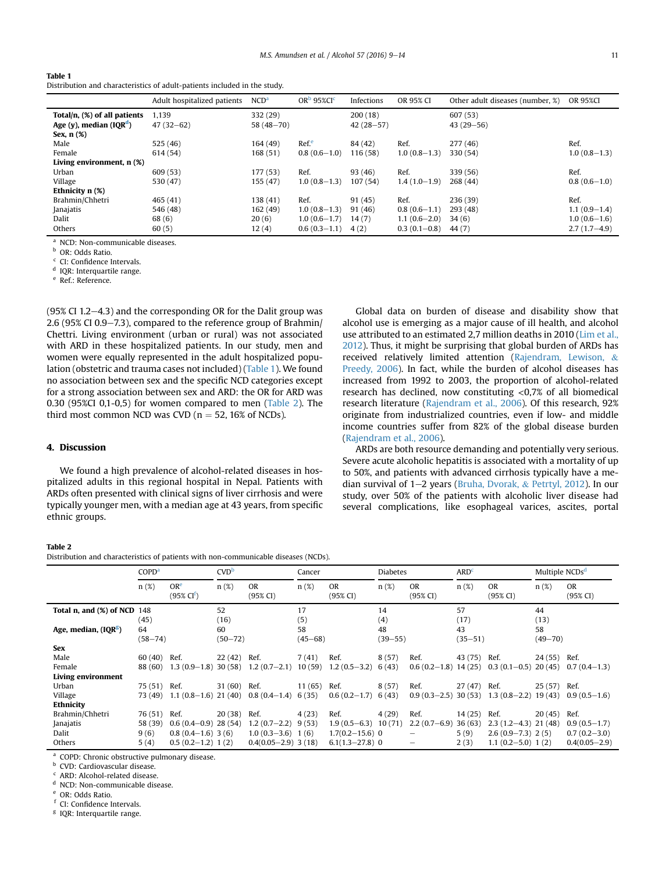#### <span id="page-2-0"></span>Table 1

Distribution and characteristics of adult-patients included in the study.

|                              | Adult hospitalized patients | NCD <sup>a</sup> | OR <sup>b</sup> 95% CI <sup>c</sup> | Infections  | OR 95% CI      | Other adult diseases (number, %) | OR 95%CI       |
|------------------------------|-----------------------------|------------------|-------------------------------------|-------------|----------------|----------------------------------|----------------|
| Total/n, (%) of all patients | 1,139                       | 332 (29)         |                                     | 200(18)     |                | 607 (53)                         |                |
| Age (y), median (IQR $d$ )   | $47(32-62)$                 | $58(48 - 70)$    |                                     | $42(28-57)$ |                | $43(29 - 56)$                    |                |
| Sex, n (%)                   |                             |                  |                                     |             |                |                                  |                |
| Male                         | 525 (46)                    | 164(49)          | Ref <sup>e</sup>                    | 84 (42)     | Ref.           | 277 (46)                         | Ref.           |
| Female                       | 614 (54)                    | 168 (51)         | $0.8(0.6-1.0)$                      | 116 (58)    | $1.0(0.8-1.3)$ | 330(54)                          | $1.0(0.8-1.3)$ |
| Living environment, n (%)    |                             |                  |                                     |             |                |                                  |                |
| Urban                        | 609 (53)                    | 177 (53)         | Ref.                                | 93 (46)     | Ref.           | 339 (56)                         | Ref.           |
| Village                      | 530 (47)                    | 155 (47)         | $1.0(0.8-1.3)$                      | 107(54)     | $1.4(1.0-1.9)$ | 268 (44)                         | $0.8(0.6-1.0)$ |
| Ethnicity $n$ $(\%)$         |                             |                  |                                     |             |                |                                  |                |
| Brahmin/Chhetri              | 465(41)                     | 138 (41)         | Ref.                                | 91(45)      | Ref.           | 236 (39)                         | Ref.           |
| Janajatis                    | 546 (48)                    | 162 (49)         | $1.0(0.8-1.3)$                      | 91(46)      | $0.8(0.6-1.1)$ | 293 (48)                         | $1.1(0.9-1.4)$ |
| Dalit                        | 68 (6)                      | 20(6)            | $1.0(0.6-1.7)$                      | 14(7)       | $1.1(0.6-2.0)$ | 34(6)                            | $1.0(0.6-1.6)$ |
| Others                       | 60(5)                       | 12(4)            | $0.6(0.3-1.1)$                      | 4(2)        | $0.3(0.1-0.8)$ | 44 (7)                           | $2.7(1.7-4.9)$ |

<sup>a</sup> NCD: Non-communicable diseases.

<sup>b</sup> OR: Odds Ratio.

CI: Confidence Intervals.

<sup>d</sup> IQR: Interquartile range.

<sup>e</sup> Ref.: Reference.

(95% CI 1.2 $-4.3$ ) and the corresponding OR for the Dalit group was 2.6 (95% CI 0.9–7.3), compared to the reference group of Brahmin/ Chettri. Living environment (urban or rural) was not associated with ARD in these hospitalized patients. In our study, men and women were equally represented in the adult hospitalized population (obstetric and trauma cases not included) (Table 1). We found no association between sex and the specific NCD categories except for a strong association between sex and ARD: the OR for ARD was 0.30 (95%CI 0,1-0,5) for women compared to men (Table 2). The third most common NCD was CVD ( $n = 52$ , 16% of NCDs).

#### 4. Discussion

We found a high prevalence of alcohol-related diseases in hospitalized adults in this regional hospital in Nepal. Patients with ARDs often presented with clinical signs of liver cirrhosis and were typically younger men, with a median age at 43 years, from specific ethnic groups.

# Global data on burden of disease and disability show that alcohol use is emerging as a major cause of ill health, and alcohol use attributed to an estimated 2,7 million deaths in 2010 [\(Lim et al.,](#page-4-0) [2012\)](#page-4-0). Thus, it might be surprising that global burden of ARDs has received relatively limited attention ([Rajendram, Lewison,](#page-4-0) & [Preedy, 2006](#page-4-0)). In fact, while the burden of alcohol diseases has increased from 1992 to 2003, the proportion of alcohol-related research has declined, now constituting <0,7% of all biomedical research literature ([Rajendram et al., 2006\)](#page-4-0). Of this research, 92% originate from industrialized countries, even if low- and middle income countries suffer from 82% of the global disease burden ([Rajendram et al., 2006\)](#page-4-0).

ARDs are both resource demanding and potentially very serious. Severe acute alcoholic hepatitis is associated with a mortality of up to 50%, and patients with advanced cirrhosis typically have a median survival of  $1-2$  years [\(Bruha, Dvorak,](#page-4-0) & [Petrtyl, 2012\)](#page-4-0). In our study, over 50% of the patients with alcoholic liver disease had several complications, like esophageal varices, ascites, portal

#### Table 2

Distribution and characteristics of patients with non-communicable diseases (NCDs).

|                                  | COPD <sup>a</sup> |                                     | CVD <sup>b</sup> |                          | Cancer      |                        | <b>Diabetes</b> |                        | ARD <sup>c</sup> |                        | Multiple NCDs <sup>d</sup> |                       |
|----------------------------------|-------------------|-------------------------------------|------------------|--------------------------|-------------|------------------------|-----------------|------------------------|------------------|------------------------|----------------------------|-----------------------|
|                                  | n(%)              | OR <sup>e</sup><br>$(95\% \, CI^f)$ | n(%)             | <b>OR</b><br>(95% CI)    | $n(\%)$     | <b>OR</b><br>(95% CI)  | $n(\%)$         | <b>OR</b><br>(95% CI)  | $n(\%)$          | <b>OR</b><br>(95% CI)  | n(%)                       | <b>OR</b><br>(95% CI) |
| Total n, and $(\%)$ of NCD $148$ |                   |                                     | 52               |                          | 17          |                        | 14              |                        | 57               |                        | 44                         |                       |
|                                  | (45)              |                                     | (16)             |                          | (5)         |                        | (4)             |                        | (17)             |                        | (13)                       |                       |
| Age, median, (IQR <sup>g</sup> ) | 64                |                                     | 60               |                          | 58          |                        | 48              |                        | 43               |                        | 58                         |                       |
|                                  | $(58 - 74)$       |                                     | $(50 - 72)$      |                          | $(45 - 68)$ |                        | $(39 - 55)$     |                        | $(35 - 51)$      |                        | $(49 - 70)$                |                       |
| <b>Sex</b>                       |                   |                                     |                  |                          |             |                        |                 |                        |                  |                        |                            |                       |
| Male                             | 60(40)            | Ref.                                | 22(42)           | Ref.                     | 7(41)       | Ref.                   | 8(57)           | Ref.                   | 43 (75)          | Ref.                   | 24(55)                     | Ref.                  |
| Female                           | 88 (60)           | $1.3(0.9-1.8)$                      | 30(58)           | $1.2(0.7-2.1)$           | 10(59)      | $1.2(0.5-3.2)$         | 6(43)           | $0.6(0.2-1.8)$ 14 (25) |                  | $0.3(0.1-0.5)$         | 20(45)                     | $0.7(0.4-1.3)$        |
| Living environment               |                   |                                     |                  |                          |             |                        |                 |                        |                  |                        |                            |                       |
| Urban                            | 75 (51)           | Ref.                                | 31(60)           | Ref.                     | 11(65)      | Ref.                   | 8(57)           | Ref.                   | 27(47)           | Ref.                   | 25(57)                     | Ref.                  |
| Village                          | 73 (49)           | $1.1(0.8-1.6)$                      | 21(40)           | $0.8(0.4-1.4)$           | 6(35)       | $0.6(0.2-1.7)$         | 6(43)           | $0.9(0.3-2.5)$         | 30(53)           | $1.3(0.8-2.2)$         | 19(43)                     | $0.9(0.5-1.6)$        |
| Ethnicity                        |                   |                                     |                  |                          |             |                        |                 |                        |                  |                        |                            |                       |
| Brahmin/Chhetri                  | 76 (51)           | Ref.                                | 20(38)           | Ref.                     | 4(23)       | Ref.                   | 4(29)           | Ref.                   | 14(25)           | Ref.                   | 20(45)                     | Ref.                  |
| Janajatis                        | 58 (39)           | $0.6(0.4-0.9)$ 28 (54)              |                  | $1.2(0.7-2.2)$           | 9(53)       | $1.9(0.5-6.3)$ 10 (71) |                 | $2.2(0.7-6.9)$         | 36(63)           | $2.3(1.2-4.3)$ 21 (48) |                            | $0.9(0.5-1.7)$        |
| Dalit                            | 9(6)              | $0.8(0.4-1.6)3(6)$                  |                  | $1.0(0.3 - 3.6)$         | 1(6)        | $1.7(0.2 - 15.6)$ 0    |                 |                        | 5(9)             | $2.6(0.9-7.3)$ 2(5)    |                            | $0.7(0.2 - 3.0)$      |
| Others                           | 5(4)              | $0.5(0.2-1.2)1(2)$                  |                  | $0.4(0.05 - 2.9)$ 3 (18) |             | $6.1(1.3 - 27.8)$ 0    |                 |                        | 2(3)             | $1.1(0.2 - 5.0)1(2)$   |                            | $0.4(0.05 - 2.9)$     |

<sup>a</sup> COPD: Chronic obstructive pulmonary disease.

<sup>b</sup> CVD: Cardiovascular disease.

ARD: Alcohol-related disease.

NCD: Non-communicable disease.

OR: Odds Ratio.

CI: Confidence Intervals.

<sup>g</sup> IQR: Interquartile range.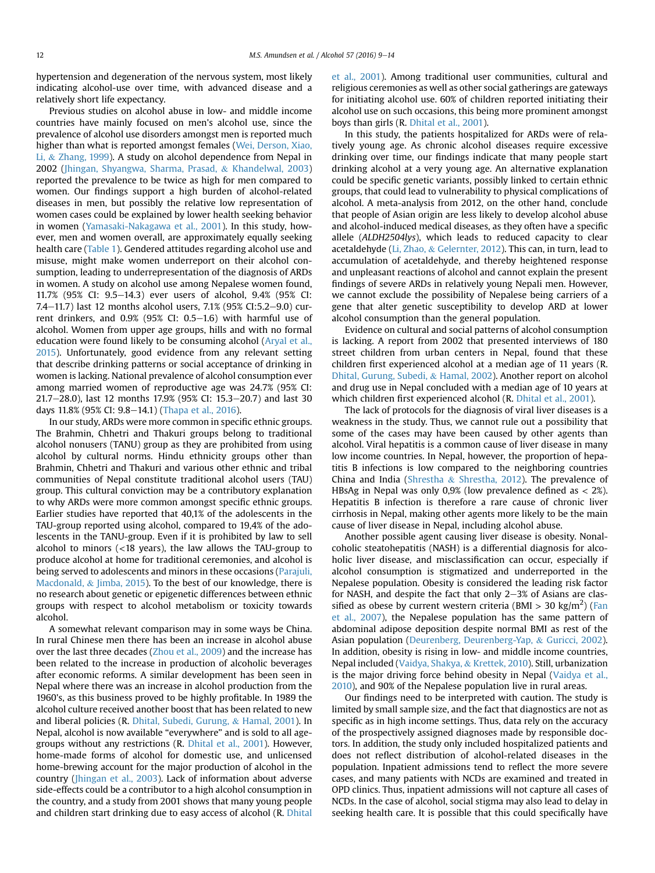hypertension and degeneration of the nervous system, most likely indicating alcohol-use over time, with advanced disease and a relatively short life expectancy.

Previous studies on alcohol abuse in low- and middle income countries have mainly focused on men's alcohol use, since the prevalence of alcohol use disorders amongst men is reported much higher than what is reported amongst females ([Wei, Derson, Xiao,](#page-5-0) [Li,](#page-5-0) & [Zhang, 1999](#page-5-0)). A study on alcohol dependence from Nepal in 2002 ([Jhingan, Shyangwa, Sharma, Prasad,](#page-4-0) & [Khandelwal, 2003\)](#page-4-0) reported the prevalence to be twice as high for men compared to women. Our findings support a high burden of alcohol-related diseases in men, but possibly the relative low representation of women cases could be explained by lower health seeking behavior in women [\(Yamasaki-Nakagawa et al., 2001\)](#page-5-0). In this study, however, men and women overall, are approximately equally seeking health care [\(Table 1](#page-2-0)). Gendered attitudes regarding alcohol use and misuse, might make women underreport on their alcohol consumption, leading to underrepresentation of the diagnosis of ARDs in women. A study on alcohol use among Nepalese women found, 11.7% (95% CI: 9.5-14.3) ever users of alcohol, 9.4% (95% CI: 7.4–11.7) last 12 months alcohol users, 7.1% (95% CI:5.2–9.0) current drinkers, and  $0.9\%$  (95% CI:  $0.5-1.6$ ) with harmful use of alcohol. Women from upper age groups, hills and with no formal education were found likely to be consuming alcohol [\(Aryal et al.,](#page-4-0) [2015](#page-4-0)). Unfortunately, good evidence from any relevant setting that describe drinking patterns or social acceptance of drinking in women is lacking. National prevalence of alcohol consumption ever among married women of reproductive age was 24.7% (95% CI: 21.7–28.0), last 12 months 17.9% (95% CI: 15.3–20.7) and last 30 days 11.8% (95% CI: 9.8-14.1) [\(Thapa et al., 2016\)](#page-5-0).

In our study, ARDs were more common in specific ethnic groups. The Brahmin, Chhetri and Thakuri groups belong to traditional alcohol nonusers (TANU) group as they are prohibited from using alcohol by cultural norms. Hindu ethnicity groups other than Brahmin, Chhetri and Thakuri and various other ethnic and tribal communities of Nepal constitute traditional alcohol users (TAU) group. This cultural conviction may be a contributory explanation to why ARDs were more common amongst specific ethnic groups. Earlier studies have reported that 40,1% of the adolescents in the TAU-group reported using alcohol, compared to 19,4% of the adolescents in the TANU-group. Even if it is prohibited by law to sell alcohol to minors (<18 years), the law allows the TAU-group to produce alcohol at home for traditional ceremonies, and alcohol is being served to adolescents and minors in these occasions ([Parajuli,](#page-4-0) [Macdonald,](#page-4-0) & [Jimba, 2015](#page-4-0)). To the best of our knowledge, there is no research about genetic or epigenetic differences between ethnic groups with respect to alcohol metabolism or toxicity towards alcohol.

A somewhat relevant comparison may in some ways be China. In rural Chinese men there has been an increase in alcohol abuse over the last three decades [\(Zhou et al., 2009\)](#page-5-0) and the increase has been related to the increase in production of alcoholic beverages after economic reforms. A similar development has been seen in Nepal where there was an increase in alcohol production from the 1960's, as this business proved to be highly profitable. In 1989 the alcohol culture received another boost that has been related to new and liberal policies (R. [Dhital, Subedi, Gurung,](#page-4-0) & [Hamal, 2001\)](#page-4-0). In Nepal, alcohol is now available "everywhere" and is sold to all agegroups without any restrictions (R. [Dhital et al., 2001](#page-4-0)). However, home-made forms of alcohol for domestic use, and unlicensed home-brewing account for the major production of alcohol in the country [\(Jhingan et al., 2003](#page-4-0)). Lack of information about adverse side-effects could be a contributor to a high alcohol consumption in the country, and a study from 2001 shows that many young people and children start drinking due to easy access of alcohol (R. [Dhital](#page-4-0) [et al., 2001\)](#page-4-0). Among traditional user communities, cultural and religious ceremonies as well as other social gatherings are gateways for initiating alcohol use. 60% of children reported initiating their alcohol use on such occasions, this being more prominent amongst boys than girls (R. [Dhital et al., 2001\)](#page-4-0).

In this study, the patients hospitalized for ARDs were of relatively young age. As chronic alcohol diseases require excessive drinking over time, our findings indicate that many people start drinking alcohol at a very young age. An alternative explanation could be specific genetic variants, possibly linked to certain ethnic groups, that could lead to vulnerability to physical complications of alcohol. A meta-analysis from 2012, on the other hand, conclude that people of Asian origin are less likely to develop alcohol abuse and alcohol-induced medical diseases, as they often have a specific allele (ALDH2504lys), which leads to reduced capacity to clear acetaldehyde ([Li, Zhao,](#page-4-0) & [Gelernter, 2012\)](#page-4-0). This can, in turn, lead to accumulation of acetaldehyde, and thereby heightened response and unpleasant reactions of alcohol and cannot explain the present findings of severe ARDs in relatively young Nepali men. However, we cannot exclude the possibility of Nepalese being carriers of a gene that alter genetic susceptibility to develop ARD at lower alcohol consumption than the general population.

Evidence on cultural and social patterns of alcohol consumption is lacking. A report from 2002 that presented interviews of 180 street children from urban centers in Nepal, found that these children first experienced alcohol at a median age of 11 years (R. [Dhital, Gurung, Subedi,](#page-4-0) & [Hamal, 2002\)](#page-4-0). Another report on alcohol and drug use in Nepal concluded with a median age of 10 years at which children first experienced alcohol (R. [Dhital et al., 2001\)](#page-4-0).

The lack of protocols for the diagnosis of viral liver diseases is a weakness in the study. Thus, we cannot rule out a possibility that some of the cases may have been caused by other agents than alcohol. Viral hepatitis is a common cause of liver disease in many low income countries. In Nepal, however, the proportion of hepatitis B infections is low compared to the neighboring countries China and India ([Shrestha](#page-5-0) & [Shrestha, 2012](#page-5-0)). The prevalence of HBsAg in Nepal was only  $0.9\%$  (low prevalence defined as  $< 2\%$ ). Hepatitis B infection is therefore a rare cause of chronic liver cirrhosis in Nepal, making other agents more likely to be the main cause of liver disease in Nepal, including alcohol abuse.

Another possible agent causing liver disease is obesity. Nonalcoholic steatohepatitis (NASH) is a differential diagnosis for alcoholic liver disease, and misclassification can occur, especially if alcohol consumption is stigmatized and underreported in the Nepalese population. Obesity is considered the leading risk factor for NASH, and despite the fact that only  $2-3$ % of Asians are clas-sified as obese by current western criteria (BMI > 30 kg/m<sup>2</sup>) ([Fan](#page-4-0) [et al., 2007](#page-4-0)), the Nepalese population has the same pattern of abdominal adipose deposition despite normal BMI as rest of the Asian population [\(Deurenberg, Deurenberg-Yap,](#page-4-0) & [Guricci, 2002\)](#page-4-0). In addition, obesity is rising in low- and middle income countries, Nepal included ([Vaidya, Shakya,](#page-5-0) & [Krettek, 2010](#page-5-0)). Still, urbanization is the major driving force behind obesity in Nepal [\(Vaidya et al.,](#page-5-0) [2010\)](#page-5-0), and 90% of the Nepalese population live in rural areas.

Our findings need to be interpreted with caution. The study is limited by small sample size, and the fact that diagnostics are not as specific as in high income settings. Thus, data rely on the accuracy of the prospectively assigned diagnoses made by responsible doctors. In addition, the study only included hospitalized patients and does not reflect distribution of alcohol-related diseases in the population. Inpatient admissions tend to reflect the more severe cases, and many patients with NCDs are examined and treated in OPD clinics. Thus, inpatient admissions will not capture all cases of NCDs. In the case of alcohol, social stigma may also lead to delay in seeking health care. It is possible that this could specifically have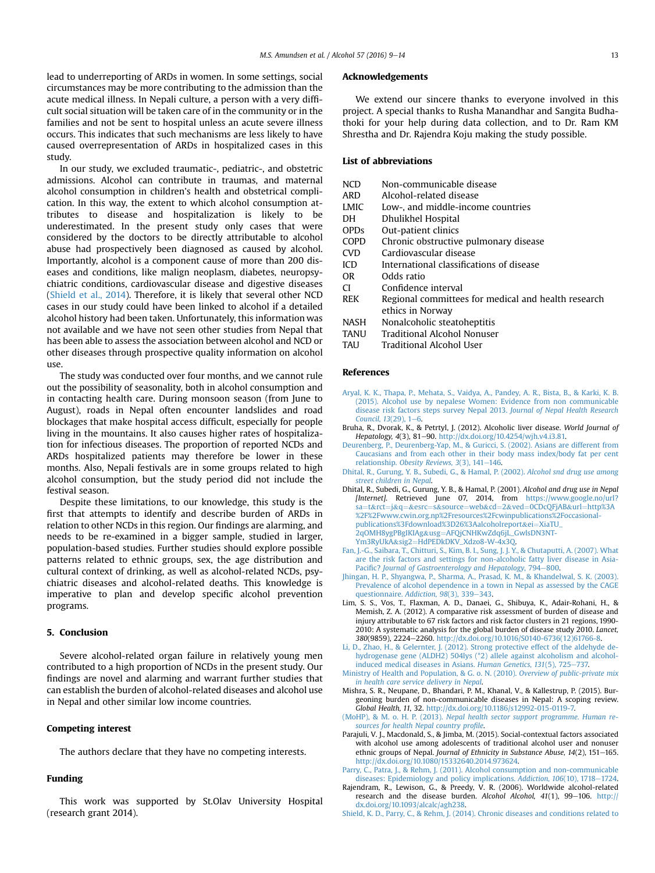<span id="page-4-0"></span>lead to underreporting of ARDs in women. In some settings, social circumstances may be more contributing to the admission than the acute medical illness. In Nepali culture, a person with a very difficult social situation will be taken care of in the community or in the families and not be sent to hospital unless an acute severe illness occurs. This indicates that such mechanisms are less likely to have caused overrepresentation of ARDs in hospitalized cases in this study.

In our study, we excluded traumatic-, pediatric-, and obstetric admissions. Alcohol can contribute in traumas, and maternal alcohol consumption in children's health and obstetrical complication. In this way, the extent to which alcohol consumption attributes to disease and hospitalization is likely to be underestimated. In the present study only cases that were considered by the doctors to be directly attributable to alcohol abuse had prospectively been diagnosed as caused by alcohol. Importantly, alcohol is a component cause of more than 200 diseases and conditions, like malign neoplasm, diabetes, neuropsychiatric conditions, cardiovascular disease and digestive diseases (Shield et al., 2014). Therefore, it is likely that several other NCD cases in our study could have been linked to alcohol if a detailed alcohol history had been taken. Unfortunately, this information was not available and we have not seen other studies from Nepal that has been able to assess the association between alcohol and NCD or other diseases through prospective quality information on alcohol use.

The study was conducted over four months, and we cannot rule out the possibility of seasonality, both in alcohol consumption and in contacting health care. During monsoon season (from June to August), roads in Nepal often encounter landslides and road blockages that make hospital access difficult, especially for people living in the mountains. It also causes higher rates of hospitalization for infectious diseases. The proportion of reported NCDs and ARDs hospitalized patients may therefore be lower in these months. Also, Nepali festivals are in some groups related to high alcohol consumption, but the study period did not include the festival season.

Despite these limitations, to our knowledge, this study is the first that attempts to identify and describe burden of ARDs in relation to other NCDs in this region. Our findings are alarming, and needs to be re-examined in a bigger sample, studied in larger, population-based studies. Further studies should explore possible patterns related to ethnic groups, sex, the age distribution and cultural context of drinking, as well as alcohol-related NCDs, psychiatric diseases and alcohol-related deaths. This knowledge is imperative to plan and develop specific alcohol prevention programs.

## 5. Conclusion

Severe alcohol-related organ failure in relatively young men contributed to a high proportion of NCDs in the present study. Our findings are novel and alarming and warrant further studies that can establish the burden of alcohol-related diseases and alcohol use in Nepal and other similar low income countries.

## Competing interest

The authors declare that they have no competing interests.

## Funding

This work was supported by St.Olav University Hospital (research grant 2014).

#### Acknowledgements

We extend our sincere thanks to everyone involved in this project. A special thanks to Rusha Manandhar and Sangita Budhathoki for your help during data collection, and to Dr. Ram KM Shrestha and Dr. Rajendra Koju making the study possible.

## List of abbreviations

- NCD Non-communicable disease
- ARD Alcohol-related disease
- LMIC Low-, and middle-income countries
- DH Dhulikhel Hospital
- OPDs Out-patient clinics
- COPD Chronic obstructive pulmonary disease
- CVD Cardiovascular disease
- ICD International classifications of disease
- OR Odds ratio
- CI Confidence interval
- REK Regional committees for medical and health research ethics in Norway
- NASH Nonalcoholic steatoheptitis
- TANU Traditional Alcohol Nonuser
- TAU Traditional Alcohol User

#### References

- [Aryal, K. K., Thapa, P., Mehata, S., Vaidya, A., Pandey, A. R., Bista, B., & Karki, K. B.](http://refhub.elsevier.com/S0741-8329(16)30129-X/sref1) [\(2015\). Alcohol use by nepalese Women: Evidence from non communicable](http://refhub.elsevier.com/S0741-8329(16)30129-X/sref1) [disease risk factors steps survey Nepal 2013.](http://refhub.elsevier.com/S0741-8329(16)30129-X/sref1) Journal of Nepal Health Research Council,  $13(29)$ ,  $1-6$ .
- Bruha, R., Dvorak, K., & Petrtyl, J. (2012). Alcoholic liver disease. World Journal of Hepatology, 4(3), 81-90. [http://dx.doi.org/10.4254/wjh.v4.i3.81.](http://dx.doi.org/10.4254/wjh.v4.i3.81)
- [Deurenberg, P., Deurenberg-Yap, M., & Guricci, S. \(2002\). Asians are different from](http://refhub.elsevier.com/S0741-8329(16)30129-X/sref3) [Caucasians and from each other in their body mass index/body fat per cent](http://refhub.elsevier.com/S0741-8329(16)30129-X/sref3) relationship. Obesity Reviews,  $3(3)$ ,  $141-146$ .
- [Dhital, R., Gurung, Y. B., Subedi, G., & Hamal, P. \(2002\).](http://refhub.elsevier.com/S0741-8329(16)30129-X/sref4) Alcohol snd drug use among [street children in Nepal](http://refhub.elsevier.com/S0741-8329(16)30129-X/sref4).
- Dhital, R., Subedi, G., Gurung, Y. B., & Hamal, P. (2001). Alcohol and drug use in Nepal [Internet]. Retrieved June 07, 2014, from [https://www.google.no/url?](https://www.google.no/url?sa=t&rct=j&q=&esrc=s&source=web&cd=2&ved=0CDcQFjAB&url=http%253A%252F%252Fwww.cwin.org.np%252Fresources%252Fcwinpublications%252Foccasional-publications%253Fdownload%253D26%253Aalcoholreport&ei=XiaTU_2qOMH8ygPBgIKIAg&usg=AFQjCNHKwZdq6jL_GwlsDN3NT-Ym3RyUkA&sig2=HdPEDkDKV_Xdzo8-W-4x3Q) [sa](https://www.google.no/url?sa=t&rct=j&q=&esrc=s&source=web&cd=2&ved=0CDcQFjAB&url=http%253A%252F%252Fwww.cwin.org.np%252Fresources%252Fcwinpublications%252Foccasional-publications%253Fdownload%253D26%253Aalcoholreport&ei=XiaTU_2qOMH8ygPBgIKIAg&usg=AFQjCNHKwZdq6jL_GwlsDN3NT-Ym3RyUkA&sig2=HdPEDkDKV_Xdzo8-W-4x3Q)=[t](https://www.google.no/url?sa=t&rct=j&q=&esrc=s&source=web&cd=2&ved=0CDcQFjAB&url=http%253A%252F%252Fwww.cwin.org.np%252Fresources%252Fcwinpublications%252Foccasional-publications%253Fdownload%253D26%253Aalcoholreport&ei=XiaTU_2qOMH8ygPBgIKIAg&usg=AFQjCNHKwZdq6jL_GwlsDN3NT-Ym3RyUkA&sig2=HdPEDkDKV_Xdzo8-W-4x3Q)&[rct](https://www.google.no/url?sa=t&rct=j&q=&esrc=s&source=web&cd=2&ved=0CDcQFjAB&url=http%253A%252F%252Fwww.cwin.org.np%252Fresources%252Fcwinpublications%252Foccasional-publications%253Fdownload%253D26%253Aalcoholreport&ei=XiaTU_2qOMH8ygPBgIKIAg&usg=AFQjCNHKwZdq6jL_GwlsDN3NT-Ym3RyUkA&sig2=HdPEDkDKV_Xdzo8-W-4x3Q)=[j](https://www.google.no/url?sa=t&rct=j&q=&esrc=s&source=web&cd=2&ved=0CDcQFjAB&url=http%253A%252F%252Fwww.cwin.org.np%252Fresources%252Fcwinpublications%252Foccasional-publications%253Fdownload%253D26%253Aalcoholreport&ei=XiaTU_2qOMH8ygPBgIKIAg&usg=AFQjCNHKwZdq6jL_GwlsDN3NT-Ym3RyUkA&sig2=HdPEDkDKV_Xdzo8-W-4x3Q)&[q](https://www.google.no/url?sa=t&rct=j&q=&esrc=s&source=web&cd=2&ved=0CDcQFjAB&url=http%253A%252F%252Fwww.cwin.org.np%252Fresources%252Fcwinpublications%252Foccasional-publications%253Fdownload%253D26%253Aalcoholreport&ei=XiaTU_2qOMH8ygPBgIKIAg&usg=AFQjCNHKwZdq6jL_GwlsDN3NT-Ym3RyUkA&sig2=HdPEDkDKV_Xdzo8-W-4x3Q)=&[esrc](https://www.google.no/url?sa=t&rct=j&q=&esrc=s&source=web&cd=2&ved=0CDcQFjAB&url=http%253A%252F%252Fwww.cwin.org.np%252Fresources%252Fcwinpublications%252Foccasional-publications%253Fdownload%253D26%253Aalcoholreport&ei=XiaTU_2qOMH8ygPBgIKIAg&usg=AFQjCNHKwZdq6jL_GwlsDN3NT-Ym3RyUkA&sig2=HdPEDkDKV_Xdzo8-W-4x3Q)=[s](https://www.google.no/url?sa=t&rct=j&q=&esrc=s&source=web&cd=2&ved=0CDcQFjAB&url=http%253A%252F%252Fwww.cwin.org.np%252Fresources%252Fcwinpublications%252Foccasional-publications%253Fdownload%253D26%253Aalcoholreport&ei=XiaTU_2qOMH8ygPBgIKIAg&usg=AFQjCNHKwZdq6jL_GwlsDN3NT-Ym3RyUkA&sig2=HdPEDkDKV_Xdzo8-W-4x3Q)&[source](https://www.google.no/url?sa=t&rct=j&q=&esrc=s&source=web&cd=2&ved=0CDcQFjAB&url=http%253A%252F%252Fwww.cwin.org.np%252Fresources%252Fcwinpublications%252Foccasional-publications%253Fdownload%253D26%253Aalcoholreport&ei=XiaTU_2qOMH8ygPBgIKIAg&usg=AFQjCNHKwZdq6jL_GwlsDN3NT-Ym3RyUkA&sig2=HdPEDkDKV_Xdzo8-W-4x3Q)=[web](https://www.google.no/url?sa=t&rct=j&q=&esrc=s&source=web&cd=2&ved=0CDcQFjAB&url=http%253A%252F%252Fwww.cwin.org.np%252Fresources%252Fcwinpublications%252Foccasional-publications%253Fdownload%253D26%253Aalcoholreport&ei=XiaTU_2qOMH8ygPBgIKIAg&usg=AFQjCNHKwZdq6jL_GwlsDN3NT-Ym3RyUkA&sig2=HdPEDkDKV_Xdzo8-W-4x3Q)&[cd](https://www.google.no/url?sa=t&rct=j&q=&esrc=s&source=web&cd=2&ved=0CDcQFjAB&url=http%253A%252F%252Fwww.cwin.org.np%252Fresources%252Fcwinpublications%252Foccasional-publications%253Fdownload%253D26%253Aalcoholreport&ei=XiaTU_2qOMH8ygPBgIKIAg&usg=AFQjCNHKwZdq6jL_GwlsDN3NT-Ym3RyUkA&sig2=HdPEDkDKV_Xdzo8-W-4x3Q)=[2](https://www.google.no/url?sa=t&rct=j&q=&esrc=s&source=web&cd=2&ved=0CDcQFjAB&url=http%253A%252F%252Fwww.cwin.org.np%252Fresources%252Fcwinpublications%252Foccasional-publications%253Fdownload%253D26%253Aalcoholreport&ei=XiaTU_2qOMH8ygPBgIKIAg&usg=AFQjCNHKwZdq6jL_GwlsDN3NT-Ym3RyUkA&sig2=HdPEDkDKV_Xdzo8-W-4x3Q)&[ved](https://www.google.no/url?sa=t&rct=j&q=&esrc=s&source=web&cd=2&ved=0CDcQFjAB&url=http%253A%252F%252Fwww.cwin.org.np%252Fresources%252Fcwinpublications%252Foccasional-publications%253Fdownload%253D26%253Aalcoholreport&ei=XiaTU_2qOMH8ygPBgIKIAg&usg=AFQjCNHKwZdq6jL_GwlsDN3NT-Ym3RyUkA&sig2=HdPEDkDKV_Xdzo8-W-4x3Q)=[0CDcQFjAB](https://www.google.no/url?sa=t&rct=j&q=&esrc=s&source=web&cd=2&ved=0CDcQFjAB&url=http%253A%252F%252Fwww.cwin.org.np%252Fresources%252Fcwinpublications%252Foccasional-publications%253Fdownload%253D26%253Aalcoholreport&ei=XiaTU_2qOMH8ygPBgIKIAg&usg=AFQjCNHKwZdq6jL_GwlsDN3NT-Ym3RyUkA&sig2=HdPEDkDKV_Xdzo8-W-4x3Q)&[url](https://www.google.no/url?sa=t&rct=j&q=&esrc=s&source=web&cd=2&ved=0CDcQFjAB&url=http%253A%252F%252Fwww.cwin.org.np%252Fresources%252Fcwinpublications%252Foccasional-publications%253Fdownload%253D26%253Aalcoholreport&ei=XiaTU_2qOMH8ygPBgIKIAg&usg=AFQjCNHKwZdq6jL_GwlsDN3NT-Ym3RyUkA&sig2=HdPEDkDKV_Xdzo8-W-4x3Q)=[http%3A](https://www.google.no/url?sa=t&rct=j&q=&esrc=s&source=web&cd=2&ved=0CDcQFjAB&url=http%253A%252F%252Fwww.cwin.org.np%252Fresources%252Fcwinpublications%252Foccasional-publications%253Fdownload%253D26%253Aalcoholreport&ei=XiaTU_2qOMH8ygPBgIKIAg&usg=AFQjCNHKwZdq6jL_GwlsDN3NT-Ym3RyUkA&sig2=HdPEDkDKV_Xdzo8-W-4x3Q) [%2F%2Fwww.cwin.org.np%2Fresources%2Fcwinpublications%2Foccasional](https://www.google.no/url?sa=t&rct=j&q=&esrc=s&source=web&cd=2&ved=0CDcQFjAB&url=http%253A%252F%252Fwww.cwin.org.np%252Fresources%252Fcwinpublications%252Foccasional-publications%253Fdownload%253D26%253Aalcoholreport&ei=XiaTU_2qOMH8ygPBgIKIAg&usg=AFQjCNHKwZdq6jL_GwlsDN3NT-Ym3RyUkA&sig2=HdPEDkDKV_Xdzo8-W-4x3Q)[publications%3Fdownload%3D26%3Aalcoholreport](https://www.google.no/url?sa=t&rct=j&q=&esrc=s&source=web&cd=2&ved=0CDcQFjAB&url=http%253A%252F%252Fwww.cwin.org.np%252Fresources%252Fcwinpublications%252Foccasional-publications%253Fdownload%253D26%253Aalcoholreport&ei=XiaTU_2qOMH8ygPBgIKIAg&usg=AFQjCNHKwZdq6jL_GwlsDN3NT-Ym3RyUkA&sig2=HdPEDkDKV_Xdzo8-W-4x3Q)&[ei](https://www.google.no/url?sa=t&rct=j&q=&esrc=s&source=web&cd=2&ved=0CDcQFjAB&url=http%253A%252F%252Fwww.cwin.org.np%252Fresources%252Fcwinpublications%252Foccasional-publications%253Fdownload%253D26%253Aalcoholreport&ei=XiaTU_2qOMH8ygPBgIKIAg&usg=AFQjCNHKwZdq6jL_GwlsDN3NT-Ym3RyUkA&sig2=HdPEDkDKV_Xdzo8-W-4x3Q)=[XiaTU\\_](https://www.google.no/url?sa=t&rct=j&q=&esrc=s&source=web&cd=2&ved=0CDcQFjAB&url=http%253A%252F%252Fwww.cwin.org.np%252Fresources%252Fcwinpublications%252Foccasional-publications%253Fdownload%253D26%253Aalcoholreport&ei=XiaTU_2qOMH8ygPBgIKIAg&usg=AFQjCNHKwZdq6jL_GwlsDN3NT-Ym3RyUkA&sig2=HdPEDkDKV_Xdzo8-W-4x3Q) [2qOMH8ygPBgIKIAg](https://www.google.no/url?sa=t&rct=j&q=&esrc=s&source=web&cd=2&ved=0CDcQFjAB&url=http%253A%252F%252Fwww.cwin.org.np%252Fresources%252Fcwinpublications%252Foccasional-publications%253Fdownload%253D26%253Aalcoholreport&ei=XiaTU_2qOMH8ygPBgIKIAg&usg=AFQjCNHKwZdq6jL_GwlsDN3NT-Ym3RyUkA&sig2=HdPEDkDKV_Xdzo8-W-4x3Q)&[usg](https://www.google.no/url?sa=t&rct=j&q=&esrc=s&source=web&cd=2&ved=0CDcQFjAB&url=http%253A%252F%252Fwww.cwin.org.np%252Fresources%252Fcwinpublications%252Foccasional-publications%253Fdownload%253D26%253Aalcoholreport&ei=XiaTU_2qOMH8ygPBgIKIAg&usg=AFQjCNHKwZdq6jL_GwlsDN3NT-Ym3RyUkA&sig2=HdPEDkDKV_Xdzo8-W-4x3Q)¼[AFQjCNHKwZdq6jL\\_GwlsDN3NT-](https://www.google.no/url?sa=t&rct=j&q=&esrc=s&source=web&cd=2&ved=0CDcQFjAB&url=http%253A%252F%252Fwww.cwin.org.np%252Fresources%252Fcwinpublications%252Foccasional-publications%253Fdownload%253D26%253Aalcoholreport&ei=XiaTU_2qOMH8ygPBgIKIAg&usg=AFQjCNHKwZdq6jL_GwlsDN3NT-Ym3RyUkA&sig2=HdPEDkDKV_Xdzo8-W-4x3Q)[Ym3RyUkA](https://www.google.no/url?sa=t&rct=j&q=&esrc=s&source=web&cd=2&ved=0CDcQFjAB&url=http%253A%252F%252Fwww.cwin.org.np%252Fresources%252Fcwinpublications%252Foccasional-publications%253Fdownload%253D26%253Aalcoholreport&ei=XiaTU_2qOMH8ygPBgIKIAg&usg=AFQjCNHKwZdq6jL_GwlsDN3NT-Ym3RyUkA&sig2=HdPEDkDKV_Xdzo8-W-4x3Q)&[sig2](https://www.google.no/url?sa=t&rct=j&q=&esrc=s&source=web&cd=2&ved=0CDcQFjAB&url=http%253A%252F%252Fwww.cwin.org.np%252Fresources%252Fcwinpublications%252Foccasional-publications%253Fdownload%253D26%253Aalcoholreport&ei=XiaTU_2qOMH8ygPBgIKIAg&usg=AFQjCNHKwZdq6jL_GwlsDN3NT-Ym3RyUkA&sig2=HdPEDkDKV_Xdzo8-W-4x3Q)=[HdPEDkDKV\\_Xdzo8-W-4x3Q.](https://www.google.no/url?sa=t&rct=j&q=&esrc=s&source=web&cd=2&ved=0CDcQFjAB&url=http%253A%252F%252Fwww.cwin.org.np%252Fresources%252Fcwinpublications%252Foccasional-publications%253Fdownload%253D26%253Aalcoholreport&ei=XiaTU_2qOMH8ygPBgIKIAg&usg=AFQjCNHKwZdq6jL_GwlsDN3NT-Ym3RyUkA&sig2=HdPEDkDKV_Xdzo8-W-4x3Q)
- [Fan, J.-G., Saibara, T., Chitturi, S., Kim, B. I., Sung, J. J. Y., & Chutaputti, A. \(2007\). What](http://refhub.elsevier.com/S0741-8329(16)30129-X/sref6) [are the risk factors and settings for non-alcoholic fatty liver disease in Asia-](http://refhub.elsevier.com/S0741-8329(16)30129-X/sref6)Pacific? [Journal of Gastroenterology and Hepatology](http://refhub.elsevier.com/S0741-8329(16)30129-X/sref6), 794-[800.](http://refhub.elsevier.com/S0741-8329(16)30129-X/sref6)
- [Jhingan, H. P., Shyangwa, P., Sharma, A., Prasad, K. M., & Khandelwal, S. K. \(2003\).](http://refhub.elsevier.com/S0741-8329(16)30129-X/sref7) [Prevalence of alcohol dependence in a town in Nepal as assessed by the CAGE](http://refhub.elsevier.com/S0741-8329(16)30129-X/sref7) [questionnaire.](http://refhub.elsevier.com/S0741-8329(16)30129-X/sref7) Addiction.  $98(3)$ ,  $339-343$  $339-343$ .
- Lim, S. S., Vos, T., Flaxman, A. D., Danaei, G., Shibuya, K., Adair-Rohani, H., & Memish, Z. A. (2012). A comparative risk assessment of burden of disease and injury attributable to 67 risk factors and risk factor clusters in 21 regions, 1990- 2010: A systematic analysis for the global burden of disease study 2010. Lancet, 380(9859), 2224-2260. [http://dx.doi.org/10.1016/S0140-6736\(12\)61766-8](http://dx.doi.org/10.1016/S0140-6736(12)61766-8).
- [Li, D., Zhao, H., & Gelernter, J. \(2012\). Strong protective effect of the aldehyde de](http://refhub.elsevier.com/S0741-8329(16)30129-X/sref9)[hydrogenase gene \(ALDH2\) 504lys \(\\*2\) allele against alcoholism and alcohol](http://refhub.elsevier.com/S0741-8329(16)30129-X/sref9)[induced medical diseases in Asians.](http://refhub.elsevier.com/S0741-8329(16)30129-X/sref9) Human Genetics, 131(5), 725-[737.](http://refhub.elsevier.com/S0741-8329(16)30129-X/sref9)
- [Ministry of Health and Population, & G. o. N. \(2010\).](http://refhub.elsevier.com/S0741-8329(16)30129-X/sref10) Overview of public-private mix [in health care service delivery in Nepal](http://refhub.elsevier.com/S0741-8329(16)30129-X/sref10).
- Mishra, S. R., Neupane, D., Bhandari, P. M., Khanal, V., & Kallestrup, P. (2015). Burgeoning burden of non-communicable diseases in Nepal: A scoping review. Global Health, 11, 32. [http://dx.doi.org/10.1186/s12992-015-0119-7.](http://dx.doi.org/10.1186/s12992-015-0119-7)
- (MoHP), & M. o. H. P. (2013). [Nepal health sector support programme. Human re](http://refhub.elsevier.com/S0741-8329(16)30129-X/sref12)[sources for health Nepal country pro](http://refhub.elsevier.com/S0741-8329(16)30129-X/sref12)file.
- Parajuli, V. J., Macdonald, S., & Jimba, M. (2015). Social-contextual factors associated with alcohol use among adolescents of traditional alcohol user and nonuser ethnic groups of Nepal. Journal of Ethnicity in Substance Abuse, 14(2), 151-165. [http://dx.doi.org/10.1080/15332640.2014.973624.](http://dx.doi.org/10.1080/15332640.2014.973624)
- [Parry, C., Patra, J., & Rehm, J. \(2011\). Alcohol consumption and non-communicable](http://refhub.elsevier.com/S0741-8329(16)30129-X/sref14) [diseases: Epidemiology and policy implications.](http://refhub.elsevier.com/S0741-8329(16)30129-X/sref14) Addiction, 106(10), 1718-[1724](http://refhub.elsevier.com/S0741-8329(16)30129-X/sref14).
- Rajendram, R., Lewison, G., & Preedy, V. R. (2006). Worldwide alcohol-related research and the disease burden. Alcohol Alcohol,  $41(1)$ ,  $99-106$ . [http://](http://dx.doi.org/10.1093/alcalc/agh238) [dx.doi.org/10.1093/alcalc/agh238.](http://dx.doi.org/10.1093/alcalc/agh238)
- [Shield, K. D., Parry, C., & Rehm, J. \(2014\). Chronic diseases and conditions related to](http://refhub.elsevier.com/S0741-8329(16)30129-X/sref16)